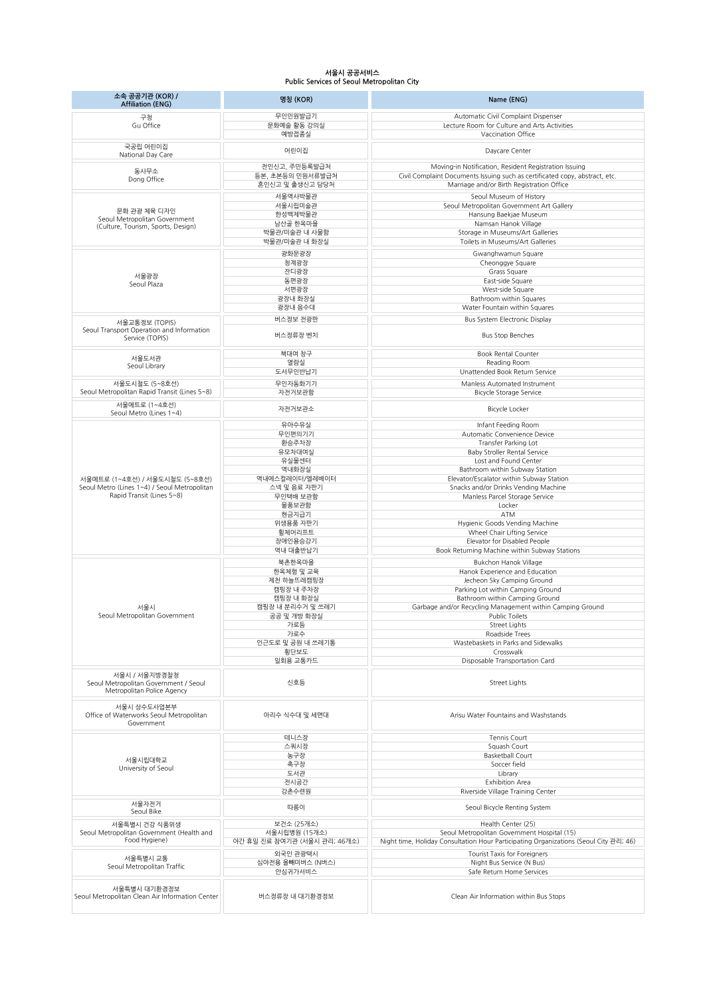## **서울시 공공서비스 Public Services of Seoul Metropolitan City**

| 소속 공공기관 (KOR) /<br><b>Affiliation (ENG)</b>                                          | 명칭 (KOR)                                      | Name (ENG)                                                                                                                           |
|--------------------------------------------------------------------------------------|-----------------------------------------------|--------------------------------------------------------------------------------------------------------------------------------------|
| 구청                                                                                   | 무인민원발급기                                       | Automatic Civil Complaint Dispenser                                                                                                  |
| Gu Office                                                                            | 문화예술 활동 강의실<br>예방접종실                          | Lecture Room for Culture and Arts Activities<br>Vaccination Office                                                                   |
|                                                                                      |                                               |                                                                                                                                      |
| 국공립 어린이집<br>National Day Care                                                        | 어린이집                                          | Daycare Center                                                                                                                       |
|                                                                                      | 전인신고, 주민등록발급처                                 | Moving-in Notification, Resident Registration Issuing                                                                                |
| 동사무소<br>Dong Office                                                                  | 등본, 초본등의 민원서류발급처                              | Civil Complaint Documents Issuing such as certificated copy, abstract, etc.                                                          |
|                                                                                      | 혼인신고 및 출생신고 담당처                               | Marriage and/or Birth Registration Office                                                                                            |
| 문화 관광 체육 디자인<br>Seoul Metropolitan Government<br>(Culture, Tourism, Sports, Design)  | 서울역사박물관                                       | Seoul Museum of History                                                                                                              |
|                                                                                      | 서울시립미술관<br>한성백제박물관                            | Seoul Metropolitan Government Art Gallery<br>Hansung Baekjae Museum                                                                  |
|                                                                                      | 남산골 한옥마을                                      | Namsan Hanok Village                                                                                                                 |
|                                                                                      | 박물관/미술관 내 사물함                                 | Storage in Museums/Art Galleries                                                                                                     |
|                                                                                      | 박물관/미술관 내 화장실                                 | Toilets in Museums/Art Galleries                                                                                                     |
| 서울광장<br>Seoul Plaza                                                                  | 광화문광장                                         | Gwanghwamun Square                                                                                                                   |
|                                                                                      | 청계광장<br>잔디광장                                  | Cheonggye Square<br>Grass Square                                                                                                     |
|                                                                                      | 동편광장                                          | East-side Square                                                                                                                     |
|                                                                                      | 서편광장                                          | West-side Square                                                                                                                     |
|                                                                                      | 광장내 화장실<br>광장내 음수대                            | Bathroom within Squares<br>Water Fountain within Squares                                                                             |
|                                                                                      | 버스정보 전광판                                      | Bus System Electronic Display                                                                                                        |
| 서울교통정보 (TOPIS)<br>Seoul Transport Operation and Information                          |                                               |                                                                                                                                      |
| Service (TOPIS)                                                                      | 버스정류장 벤치                                      | <b>Bus Stop Benches</b>                                                                                                              |
| 서울도서관                                                                                | 책대여 창구                                        | <b>Book Rental Counter</b>                                                                                                           |
| Seoul Library                                                                        | 열람실<br>도서무인반납기                                | Reading Room<br>Unattended Book Return Service                                                                                       |
| 서울도시철도 (5~8호선)                                                                       | 무인자동화기기                                       | Manless Automated Instrument                                                                                                         |
| Seoul Metropolitan Rapid Transit (Lines 5~8)                                         | 자전거보관함                                        | <b>Bicycle Storage Service</b>                                                                                                       |
| 서울메트로 (1~4호선)                                                                        | 자전거보관소                                        | Bicycle Locker                                                                                                                       |
| Seoul Metro (Lines 1~4)                                                              | 유아수유실                                         |                                                                                                                                      |
|                                                                                      | 무인편의기기                                        | Infant Feeding Room<br>Automatic Convenience Device                                                                                  |
|                                                                                      | 환승주차장                                         | Transfer Parking Lot                                                                                                                 |
|                                                                                      | 유모차대여실                                        | <b>Baby Stroller Rental Service</b>                                                                                                  |
|                                                                                      | 유실물센터<br>역내화장실                                | Lost and Found Center<br>Bathroom within Subway Station                                                                              |
| 서울메트로 (1~4호선) / 서울도시철도 (5~8호선)                                                       | 역내에스컬레이터/엘레베이터                                | Elevator/Escalator within Subway Station                                                                                             |
| Seoul Metro (Lines 1~4) / Seoul Metropolitan                                         | 스넥 및 음료 자판기                                   | Snacks and/or Drinks Vending Machine                                                                                                 |
| Rapid Transit (Lines 5~8)                                                            | 무인택배 보관함<br>물품보관함                             | Manless Parcel Storage Service<br>Locker                                                                                             |
|                                                                                      | 현금지급기                                         | ATM                                                                                                                                  |
|                                                                                      | 위생용품 자판기                                      | Hygienic Goods Vending Machine                                                                                                       |
|                                                                                      | 휠체어리프트                                        | Wheel Chair Lifting Service                                                                                                          |
|                                                                                      | 장애인용승강기<br>역내 대출반납기                           | Elevator for Disabled People<br>Book Returning Machine within Subway Stations                                                        |
|                                                                                      | 북촌한옥마을                                        | <b>Bukchon Hanok Village</b>                                                                                                         |
|                                                                                      | 한옥체험 및 교육                                     | Hanok Experience and Education                                                                                                       |
|                                                                                      | 제천 하늘뜨레캠핑장                                    | Jecheon Sky Camping Ground                                                                                                           |
|                                                                                      | 캠핑장 내 주차장<br>캠핑장 내 화장실                        | Parking Lot within Camping Ground<br>Bathroom within Camping Ground                                                                  |
| 서울시                                                                                  | 캠핑장 내 분리수거 및 쓰레기                              | Garbage and/or Recycling Management within Camping Ground                                                                            |
| Seoul Metropolitan Government                                                        | 공공 및 개방 화장실                                   | Public Toilets                                                                                                                       |
|                                                                                      | 가로등                                           | Street Lights                                                                                                                        |
|                                                                                      | 가로수<br>인근도로 및 공원 내 쓰레기통                       | Roadside Trees<br>Wastebaskets in Parks and Sidewalks                                                                                |
|                                                                                      | 횡단보도                                          | Crosswalk                                                                                                                            |
|                                                                                      | 일회용 교통카드                                      | Disposable Transportation Card                                                                                                       |
| 서울시 / 서울지방경찰청<br>Seoul Metropolitan Government / Seoul<br>Metropolitan Police Agency | 신호등                                           | Street Lights                                                                                                                        |
| 서울시 상수도사업본부<br>Office of Waterworks Seoul Metropolitan<br>Government                 | 아리수 식수대 및 세면대                                 | Arisu Water Fountains and Washstands                                                                                                 |
|                                                                                      | 테니스장                                          | Tennis Court                                                                                                                         |
| 서울시립대학교<br>University of Seoul                                                       | 스쿼시장                                          | Sauash Court                                                                                                                         |
|                                                                                      | 농구장<br>축구장                                    | <b>Basketball Court</b><br>Soccer field                                                                                              |
|                                                                                      | 도서관                                           | Library                                                                                                                              |
|                                                                                      | 전시공간                                          | <b>Exhibition Area</b>                                                                                                               |
| 서울자전거                                                                                | 강촌수련원<br>따릉이                                  | Riverside Village Training Center<br>Seoul Bicycle Renting System                                                                    |
| Seoul Bike                                                                           |                                               |                                                                                                                                      |
| 서울특별시 건강 식품위생<br>Seoul Metropolitan Government (Health and<br>Food Hygiene)          | 보건소 (25개소)                                    | Health Center (25)                                                                                                                   |
|                                                                                      | 서울시립병원 (15개소)<br>야간 휴일 진료 참여기관 (서울시 관리; 46개소) | Seoul Metropolitan Government Hospital (15)<br>Night time, Holiday Consultation Hour Participating Organizations (Seoul City 관리; 46) |
| 서울특별시 교통<br>Seoul Metropolitan Traffic                                               | 외국인 관광택시                                      | Tourist Taxis for Foreigners                                                                                                         |
|                                                                                      | 심야전용 올빼미버스 (N버스)                              | Night Bus Service (N Bus)                                                                                                            |
|                                                                                      | 안심귀가서비스                                       | Safe Return Home Services                                                                                                            |
| 서울특별시 대기환경정보<br>Seoul Metropolitan Clean Air Information Center                      | 버스정류장 내 대기환경정보                                | Clean Air Information within Bus Stops                                                                                               |